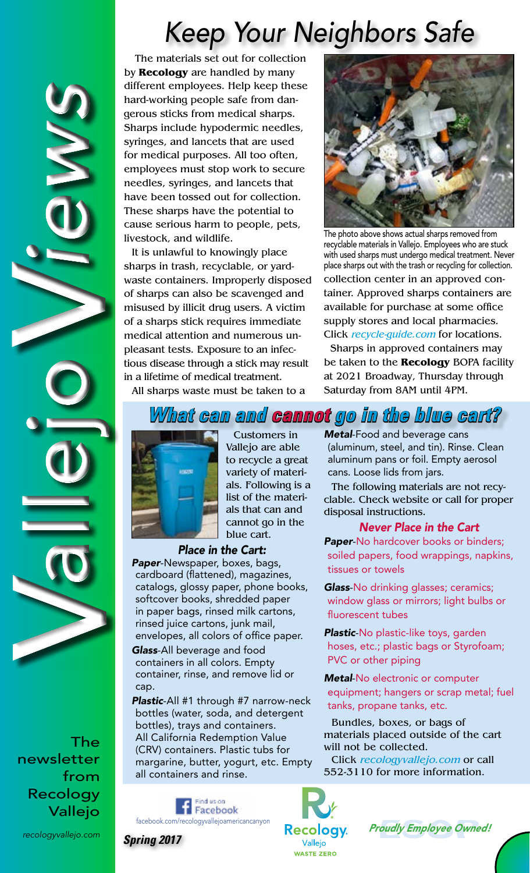## *Keep Your Neighbors Safe*

The materials set out for collection by **Recology** are handled by many different employees. Help keep these hard-working people safe from dangerous sticks from medical sharps. Sharps include hypodermic needles, syringes, and lancets that are used for medical purposes. All too often, employees must stop work to secure needles, syringes, and lancets that have been tossed out for collection. These sharps have the potential to cause serious harm to people, pets, livestock, and wildlife.

It is unlawful to knowingly place sharps in trash, recyclable, or yardwaste containers. Improperly disposed of sharps can also be scavenged and misused by illicit drug users. A victim of a sharps stick requires immediate medical attention and numerous unpleasant tests. Exposure to an infectious disease through a stick may result in a lifetime of medical treatment.



The photo above shows actual sharps removed from recyclable materials in Vallejo. Employees who are stuck with used sharps must undergo medical treatment. Never place sharps out with the trash or recycling for collection.

collection center in an approved container. Approved sharps containers are available for purchase at some office supply stores and local pharmacies. Click recycle-guide.com for locations.

 Sharps in approved containers may be taken to the **Recology** BOPA facility at 2021 Broadway, Thursday through Saturday from 8AM until 4PM.

All sharps waste must be taken to a

## *What can and cannot go in the blue cart?*



Customers in Vallejo are able to recycle a great variety of materials. Following is a list of the materials that can and cannot go in the blue cart.

#### *Place in the Cart:*

*Paper*-Newspaper, boxes, bags, cardboard (flattened), magazines, catalogs, glossy paper, phone books, softcover books, shredded paper in paper bags, rinsed milk cartons, rinsed juice cartons, junk mail, envelopes, all colors of office paper. *Glass*-All beverage and food containers in all colors. Empty container, rinse, and remove lid or cap.

*Plastic*-All #1 through #7 narrow-neck bottles (water, soda, and detergent bottles), trays and containers. All California Redemption Value (CRV) containers. Plastic tubs for margarine, butter, yogurt, etc. Empty all containers and rinse.

> ao au brit Facebook

*Metal*-Food and beverage cans (aluminum, steel, and tin). Rinse. Clean aluminum pans or foil. Empty aerosol cans. Loose lids from jars.

The following materials are not recyclable. Check website or call for proper disposal instructions.

#### *Never Place in the Cart*

*Paper*-No hardcover books or binders; soiled papers, food wrappings, napkins, tissues or towels

*Glass*-No drinking glasses; ceramics; window glass or mirrors; light bulbs or fluorescent tubes

*Plastic*-No plastic-like toys, garden hoses, etc.; plastic bags or Styrofoam; PVC or other piping

*Metal*-No electronic or computer equipment; hangers or scrap metal; fuel tanks, propane tanks, etc.

Bundles, boxes, or bags of materials placed outside of the cart will not be collected.

Click recologyvallejo.com or call 552-3110 for more information.



oudly Employee Owne tacebook.com/recologyvallejoamericancanyon **Recology** *Proudly Employee Owned!* 



*Spring 2017*

The newsletter from Recology Vallejo

V

V

allejo *iews*

X

*recologyvallejo.com*